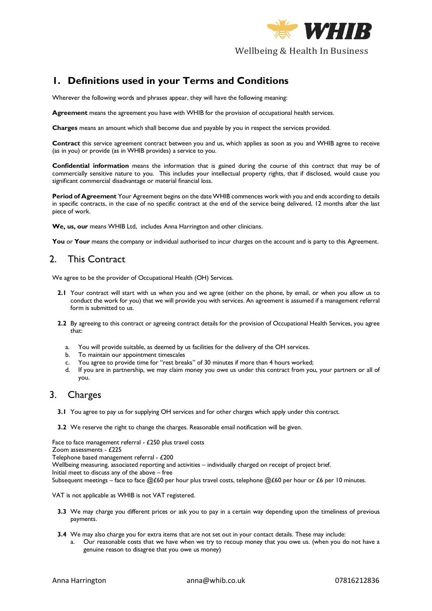

## **1. Definitions used in your Terms and Conditions**

Wherever the following words and phrases appear, they will have the following meaning:

**Agreement** means the agreement you have with WHIB for the provision of occupational health services.

**Charges** means an amount which shall become due and payable by you in respect the services provided.

**Contract** this service agreement contract between you and us, which applies as soon as you and WHIB agree to receive (as in you) or provide (as in WHIB provides) a service to you.

**Confidential information** means the information that is gained during the course of this contract that may be of commercially sensitive nature to you. This includes your intellectual property rights, that if disclosed, would cause you significant commercial disadvantage or material financial loss.

**Period of Agreement** Your Agreement begins on the date WHIB commences work with you and ends according to details in specific contracts, in the case of no specific contract at the end of the service being delivered, 12 months after the last piece of work.

We, us, our means WHIB Ltd, includes Anna Harrington and other clinicians.

You or Your means the company or individual authorised to incur charges on the account and is party to this Agreement.

## 2. This Contract

We agree to be the provider of Occupational Health (OH) Services.

- **2.1** Your contract will start with us when you and we agree (either on the phone, by email, or when you allow us to conduct the work for you) that we will provide you with services. An agreement is assumed if a management referral form is submitted to us.
- **2.2** By agreeing to this contract or agreeing contract details for the provision of Occupational Health Services, you agree that:
	- a. You will provide suitable, as deemed by us facilities for the delivery of the OH services.
	- b. To maintain our appointment timescales
	- c. You agree to provide time for "rest breaks" of 30 minutes if more than 4 hours worked;
	- d. If you are in partnership, we may claim money you owe us under this contract from you, your partners or all of you.

#### 3. Charges

- **3.1** You agree to pay us for supplying OH services and for other charges which apply under this contract.
- **3.2** We reserve the right to change the charges. Reasonable email notification will be given.

Face to face management referral - £250 plus travel costs Zoom assessments - £225 Telephone based management referral - £200 Wellbeing measuring, associated reporting and activities – individually charged on receipt of project brief. Initial meet to discuss any of the above – free Subsequent meetings – face to face @£60 per hour plus travel costs, telephone @£60 per hour or £6 per 10 minutes.

VAT is not applicable as WHIB is not VAT registered.

- **3.3** We may charge you different prices or ask you to pay in a certain way depending upon the timeliness of previous payments.
- **3.4** We may also charge you for extra items that are not set out in your contact details. These may include:
	- a. Our reasonable costs that we have when we try to recoup money that you owe us. (when you do not have a genuine reason to disagree that you owe us money)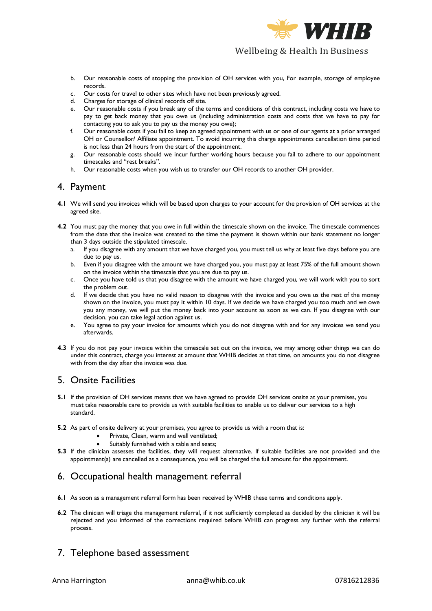

- b. Our reasonable costs of stopping the provision of OH services with you, For example, storage of employee records.
- c. Our costs for travel to other sites which have not been previously agreed.
- d. Charges for storage of clinical records off site.
- e. Our reasonable costs if you break any of the terms and conditions of this contract, including costs we have to pay to get back money that you owe us (including administration costs and costs that we have to pay for contacting you to ask you to pay us the money you owe);
- f. Our reasonable costs if you fail to keep an agreed appointment with us or one of our agents at a prior arranged OH or Counsellor/ Affiliate appointment. To avoid incurring this charge appointments cancellation time period is not less than 24 hours from the start of the appointment.
- g. Our reasonable costs should we incur further working hours because you fail to adhere to our appointment timescales and "rest breaks".
- h. Our reasonable costs when you wish us to transfer our OH records to another OH provider.

#### 4. Payment

- **4.1** We will send you invoices which will be based upon charges to your account for the provision of OH services at the agreed site.
- **4.2** You must pay the money that you owe in full within the timescale shown on the invoice. The timescale commences from the date that the invoice was created to the time the payment is shown within our bank statement no longer than 3 days outside the stipulated timescale.
	- a. If you disagree with any amount that we have charged you, you must tell us why at least five days before you are due to pay us.
	- b. Even if you disagree with the amount we have charged you, you must pay at least 75% of the full amount shown on the invoice within the timescale that you are due to pay us.
	- c. Once you have told us that you disagree with the amount we have charged you, we will work with you to sort the problem out.
	- d. If we decide that you have no valid reason to disagree with the invoice and you owe us the rest of the money shown on the invoice, you must pay it within 10 days. If we decide we have charged you too much and we owe you any money, we will put the money back into your account as soon as we can. If you disagree with our decision, you can take legal action against us.
	- e. You agree to pay your invoice for amounts which you do not disagree with and for any invoices we send you afterwards.
- **4.3** If you do not pay your invoice within the timescale set out on the invoice, we may among other things we can do under this contract, charge you interest at amount that WHIB decides at that time, on amounts you do not disagree with from the day after the invoice was due.

## 5. Onsite Facilities

- **5.1** If the provision of OH services means that we have agreed to provide OH services onsite at your premises, you must take reasonable care to provide us with suitable facilities to enable us to deliver our services to a high standard.
- **5.2** As part of onsite delivery at your premises, you agree to provide us with a room that is:
	- Private, Clean, warm and well ventilated;
	- Suitably furnished with a table and seats;
- **5.3** If the clinician assesses the facilities, they will request alternative. If suitable facilities are not provided and the appointment(s) are cancelled as a consequence, you will be charged the full amount for the appointment.

## 6. Occupational health management referral

- **6.1** As soon as a management referral form has been received by WHIB these terms and conditions apply.
- **6.2** The clinician will triage the management referral, if it not sufficiently completed as decided by the clinician it will be rejected and you informed of the corrections required before WHIB can progress any further with the referral process.

# 7. Telephone based assessment